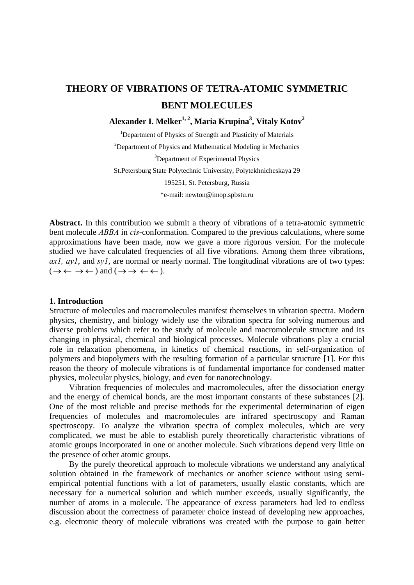## **THEORY OF VIBRATIONS OF TETRA-ATOMIC SYMMETRIC BENT MOLECULES**

**Alexander I. Melker1, 2\*, Maria Krupina3 , Vitaly Kotov2** 

<sup>1</sup>Department of Physics of Strength and Plasticity of Materials <sup>2</sup>Department of Physics and Mathematical Modeling in Mechanics <sup>3</sup>Department of Experimental Physics St.Petersburg State Polytechnic University, Polytekhnicheskaya 29 195251, St. Petersburg, Russia \*e-mail: newton@imop.spbstu.ru

**Abstract.** In this contribution we submit a theory of vibrations of a tetra-atomic symmetric bent molecule *ABBA* in *cis*-conformation. Compared to the previous calculations, where some approximations have been made, now we gave a more rigorous version. For the molecule studied we have calculated frequencies of all five vibrations. Among them three vibrations, *ax1, ay1*, and *sy1*, are normal or nearly normal. The longitudinal vibrations are of two types:  $(\rightarrow \leftarrow \rightarrow \leftarrow)$  and  $(\rightarrow \rightarrow \leftarrow \leftarrow)$ .

## **1. Introduction**

Structure of molecules and macromolecules manifest themselves in vibration spectra. Modern physics, chemistry, and biology widely use the vibration spectra for solving numerous and diverse problems which refer to the study of molecule and macromolecule structure and its changing in physical, chemical and biological processes. Molecule vibrations play a crucial role in relaxation phenomena, in kinetics of chemical reactions, in self-organization of polymers and biopolymers with the resulting formation of a particular structure [1]. For this reason the theory of molecule vibrations is of fundamental importance for condensed matter physics, molecular physics, biology, and even for nanotechnology.

Vibration frequencies of molecules and macromolecules, after the dissociation energy and the energy of chemical bonds, are the most important constants of these substances [2]. One of the most reliable and precise methods for the experimental determination of eigen frequencies of molecules and macromolecules are infrared spectroscopy and Raman spectroscopy. To analyze the vibration spectra of complex molecules, which are very complicated, we must be able to establish purely theoretically characteristic vibrations of atomic groups incorporated in one or another molecule. Such vibrations depend very little on the presence of other atomic groups.

By the purely theoretical approach to molecule vibrations we understand any analytical solution obtained in the framework of mechanics or another science without using semiempirical potential functions with a lot of parameters, usually elastic constants, which are necessary for a numerical solution and which number exceeds, usually significantly, the number of atoms in a molecule. The appearance of excess parameters had led to endless discussion about the correctness of parameter choice instead of developing new approaches, e.g. electronic theory of molecule vibrations was created with the purpose to gain better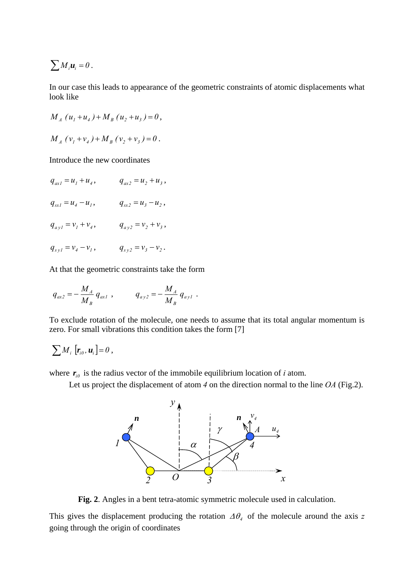$$
\sum M_i u_i = 0.
$$

In our case this leads to appearance of the geometric constraints of atomic displacements what look like

$$
M_A (u_1 + u_4) + M_B (u_2 + u_3) = 0,
$$

$$
M_A (v_1 + v_4) + M_B (v_2 + v_3) = 0.
$$

Introduce the new coordinates

 $q_{ax1} = u_1 + u_4,$   $q_{ax2} = u_2 + u_3,$  $q_{st} = u_4 - u_1$ ,  $q_{st} = u_3 - u_2$ ,  $q_{ay1} = v_1 + v_4,$   $q_{ay2} = v_2 + v_3,$  $q_{syl} = v_4 - v_1$ ,  $q_{syl} = v_3 - v_2$ .

At that the geometric constraints take the form

$$
q_{ax2} = -\frac{M_A}{M_B} q_{ax1} , \qquad q_{ay2} = -\frac{M_A}{M_B} q_{ay1} .
$$

To exclude rotation of the molecule, one needs to assume that its total angular momentum is zero. For small vibrations this condition takes the form [7]

$$
\sum M_i \left[ \mathbf{r}_{i0}, \mathbf{u}_i \right] = 0 \,,
$$

where  $r_{i0}$  is the radius vector of the immobile equilibrium location of *i* atom.

Let us project the displacement of atom *4* on the direction normal to the line *OA* (Fig.2).



**Fig. 2**. Angles in a bent tetra-atomic symmetric molecule used in calculation.

This gives the displacement producing the rotation  $\Delta\theta_i$  of the molecule around the axis *z* going through the origin of coordinates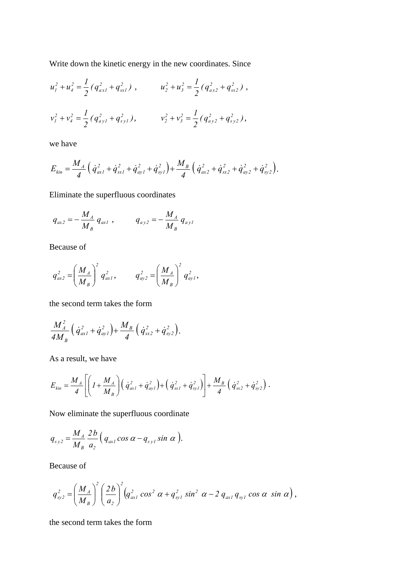Write down the kinetic energy in the new coordinates. Since

$$
u_1^2 + u_4^2 = \frac{1}{2} \left( q_{ax1}^2 + q_{sx1}^2 \right) , \qquad u_2^2 + u_3^2 = \frac{1}{2} \left( q_{ax2}^2 + q_{sx2}^2 \right) ,
$$
  

$$
v_1^2 + v_4^2 = \frac{1}{2} \left( q_{ay1}^2 + q_{sy1}^2 \right) , \qquad v_2^2 + v_3^2 = \frac{1}{2} \left( q_{ay2}^2 + q_{sy2}^2 \right) ,
$$

we have

$$
E_{kin} = \frac{M_A}{4} \left( \dot{q}_{ax1}^2 + \dot{q}_{sx1}^2 + \dot{q}_{ay1}^2 + \dot{q}_{sy1}^2 \right) + \frac{M_B}{4} \left( \dot{q}_{ax2}^2 + \dot{q}_{sx2}^2 + \dot{q}_{ay2}^2 + \dot{q}_{sy2}^2 \right).
$$

Eliminate the superfluous coordinates

$$
q_{ax2} = -\frac{M_A}{M_B} q_{ax1} , \qquad q_{ay2} = -\frac{M_A}{M_B} q_{ay1}
$$

Because of

$$
q_{ax2}^2 = \left(\frac{M_A}{M_B}\right)^2 q_{ax1}^2, \qquad q_{ay2}^2 = \left(\frac{M_A}{M_B}\right)^2 q_{ay1}^2,
$$

the second term takes the form

$$
\frac{M_A^2}{4M_B} \left( \dot{q}_{ax1}^2 + \dot{q}_{ay1}^2 \right) + \frac{M_B}{4} \left( \dot{q}_{sx2}^2 + \dot{q}_{sy2}^2 \right).
$$

As a result, we have

$$
E_{kin} = \frac{M_A}{4} \left[ \left( I + \frac{M_A}{M_B} \right) \left( \dot{q}_{axI}^2 + \dot{q}_{ayI}^2 \right) + \left( \dot{q}_{sxI}^2 + \dot{q}_{syI}^2 \right) \right] + \frac{M_B}{4} \left( \dot{q}_{sx2}^2 + \dot{q}_{sy2}^2 \right) .
$$

Now eliminate the superfluous coordinate

$$
q_{_{s\,y\,2}}=\frac{M_{_A}}{M_{_B}}\frac{2\,b}{a_{_2}}\left(q_{\alpha x1}\cos\alpha-q_{_{s\,y1}}\sin\,\alpha\right).
$$

Because of

$$
q_{\rm sy2}^2 = \left(\frac{M_A}{M_B}\right)^2 \left(\frac{2b}{a_2}\right)^2 \left(q_{\rm ax1}^2 \cos^2 \alpha + q_{\rm sy1}^2 \sin^2 \alpha - 2 q_{\rm ax1} q_{\rm sy1} \cos \alpha \sin \alpha\right),
$$

the second term takes the form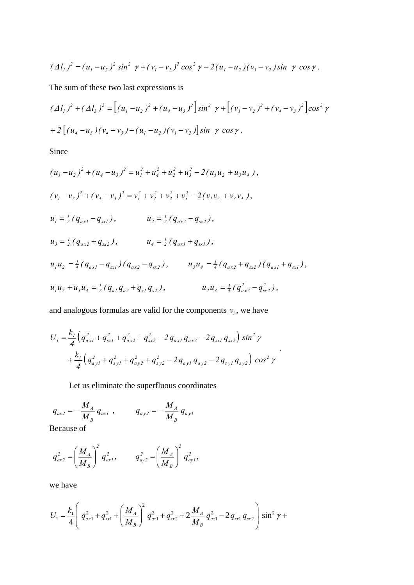$$
(\Delta l_1)^2 = (u_1 - u_2)^2 \sin^2 \gamma + (v_1 - v_2)^2 \cos^2 \gamma - 2(u_1 - u_2)(v_1 - v_2) \sin \gamma \cos \gamma.
$$

The sum of these two last expressions is

$$
(\Delta l_1)^2 + (\Delta l_3)^2 = \left[ (u_1 - u_2)^2 + (u_4 - u_3)^2 \right] \sin^2 \gamma + \left[ (v_1 - v_2)^2 + (v_4 - v_3)^2 \right] \cos^2 \gamma
$$
  
+2  $\left[ (u_4 - u_3)(v_4 - v_3) - (u_1 - u_2)(v_1 - v_2) \right] \sin \gamma \cos \gamma$ .

Since

$$
(u_1 - u_2)^2 + (u_4 - u_3)^2 = u_1^2 + u_4^2 + u_2^2 + u_3^2 - 2(u_1u_2 + u_3u_4),
$$
  
\n
$$
(v_1 - v_2)^2 + (v_4 - v_3)^2 = v_1^2 + v_4^2 + v_2^2 + v_3^2 - 2(v_1v_2 + v_3v_4),
$$
  
\n
$$
u_1 = \frac{1}{2}(q_{ax1} - q_{sx1}), \qquad u_2 = \frac{1}{2}(q_{ax2} - q_{sx2}),
$$
  
\n
$$
u_3 = \frac{1}{2}(q_{ax2} + q_{sx2}), \qquad u_4 = \frac{1}{2}(q_{ax1} + q_{sx1}),
$$
  
\n
$$
u_1u_2 = \frac{1}{4}(q_{ax1} - q_{sx1})(q_{ax2} - q_{sx2}), \qquad u_3u_4 = \frac{1}{4}(q_{ax2} + q_{sx2})(q_{ax1} + q_{sx1}),
$$
  
\n
$$
u_1u_2 + u_3u_4 = \frac{1}{2}(q_{a1}q_{a2} + q_{s1}q_{s2}), \qquad u_2u_3 = \frac{1}{4}(q_{ax2}^2 - q_{sx2}^2),
$$

and analogous formulas are valid for the components  $v_i$ , we have

$$
U_{I} = \frac{k_{I}}{4} \Big( q_{axI}^{2} + q_{sxI}^{2} + q_{ax2}^{2} + q_{sx2}^{2} - 2 q_{axI} q_{ax2} - 2 q_{sxI} q_{sx2} \Big) \sin^{2} \gamma
$$
  
+ 
$$
\frac{k_{I}}{4} \Big( q_{ayI}^{2} + q_{syI}^{2} + q_{ay2}^{2} + q_{sy2}^{2} - 2 q_{ayI} q_{ay2} - 2 q_{syI} q_{sy2} \Big) \cos^{2} \gamma
$$

.

Let us eliminate the superfluous coordinates

$$
q_{ax2} = -\frac{M_A}{M_B} q_{ax1} , \qquad q_{ay2} = -\frac{M_A}{M_B} q_{ay1}
$$

Because of

$$
q_{ax2}^2 = \left(\frac{M_A}{M_B}\right)^2 q_{ax1}^2, \qquad q_{ay2}^2 = \left(\frac{M_A}{M_B}\right)^2 q_{ay1}^2,
$$

we have

$$
U_1 = \frac{k_1}{4} \left( q_{ax1}^2 + q_{sx1}^2 + \left( \frac{M_A}{M_B} \right)^2 q_{ax1}^2 + q_{sx2}^2 + 2 \frac{M_A}{M_B} q_{ax1}^2 - 2 q_{sx1} q_{sx2} \right) \sin^2 \gamma +
$$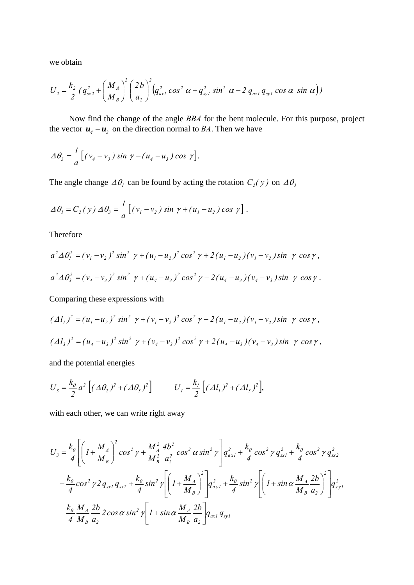we obtain

$$
U_2 = \frac{k_2}{2} \left( q_{xx}^2 + \left( \frac{M_A}{M_B} \right)^2 \left( \frac{2b}{a_2} \right)^2 \left( q_{ax1}^2 \cos^2 \alpha + q_{yy1}^2 \sin^2 \alpha - 2 q_{ax1} q_{yy1} \cos \alpha \sin \alpha \right) \right)
$$

Now find the change of the angle *BBA* for the bent molecule. For this purpose, project the vector  $\mathbf{u}_{4} - \mathbf{u}_{3}$  on the direction normal to *BA*. Then we have

$$
\Delta \theta_3 = \frac{1}{a} \left[ \left( v_4 - v_3 \right) \sin \gamma - \left( u_4 - u_3 \right) \cos \gamma \right].
$$

The angle change  $\Delta\theta_i$  can be found by acting the rotation  $C_2(y)$  on  $\Delta\theta_3$ 

$$
\Delta \theta_1 = C_2(y) \Delta \theta_3 = \frac{1}{a} \left[ \left( v_1 - v_2 \right) \sin \gamma + \left( u_1 - u_2 \right) \cos \gamma \right].
$$

Therefore

$$
a^{2} \Delta \theta_{1}^{2} = (v_{1} - v_{2})^{2} \sin^{2} \gamma + (u_{1} - u_{2})^{2} \cos^{2} \gamma + 2(u_{1} - u_{2})(v_{1} - v_{2}) \sin \gamma \cos \gamma,
$$
  

$$
a^{2} \Delta \theta_{3}^{2} = (v_{4} - v_{3})^{2} \sin^{2} \gamma + (u_{4} - u_{3})^{2} \cos^{2} \gamma - 2(u_{4} - u_{3})(v_{4} - v_{3}) \sin \gamma \cos \gamma.
$$

Comparing these expressions with

$$
(\Delta l_1)^2 = (u_1 - u_2)^2 \sin^2 \gamma + (v_1 - v_2)^2 \cos^2 \gamma - 2(u_1 - u_2)(v_1 - v_2) \sin \gamma \cos \gamma,
$$
  

$$
(\Delta l_3)^2 = (u_4 - u_3)^2 \sin^2 \gamma + (v_4 - v_3)^2 \cos^2 \gamma + 2(u_4 - u_3)(v_4 - v_3) \sin \gamma \cos \gamma,
$$

and the potential energies

$$
U_{3} = \frac{k_{\theta}}{2} a^{2} \left[ (\Delta \theta_{2})^{2} + (\Delta \theta_{3})^{2} \right] \qquad U_{1} = \frac{k_{1}}{2} \left[ (\Delta l_{1})^{2} + (\Delta l_{3})^{2} \right],
$$

with each other, we can write right away

$$
U_{3} = \frac{k_{\theta}}{4} \left[ \left( I + \frac{M_{A}}{M_{B}} \right)^{2} \cos^{2} \gamma + \frac{M_{A}^{2}}{M_{B}^{2}} \frac{4b^{2}}{a_{2}^{2}} \cos^{2} \alpha \sin^{2} \gamma \right] q_{ax1}^{2} + \frac{k_{\theta}}{4} \cos^{2} \gamma q_{sx1}^{2} + \frac{k_{\theta}}{4} \cos^{2} \gamma q_{sx2}^{2}
$$
  

$$
- \frac{k_{\theta}}{4} \cos^{2} \gamma 2 q_{sx1} q_{sx2} + \frac{k_{\theta}}{4} \sin^{2} \gamma \left[ \left( I + \frac{M_{A}}{M_{B}} \right)^{2} \right] q_{ay1}^{2} + \frac{k_{\theta}}{4} \sin^{2} \gamma \left[ \left( I + \sin \alpha \frac{M_{A}}{M_{B}} \frac{2b}{a_{2}} \right)^{2} \right] q_{sy1}^{2}
$$
  

$$
- \frac{k_{\theta}}{4} \frac{M_{A}}{M_{B}} \frac{2b}{a_{2}} \frac{2 \cos \alpha \sin^{2} \gamma \left[ I + \sin \alpha \frac{M_{A}}{M_{B}} \frac{2b}{a_{2}} \right] q_{ax1} q_{sy1}
$$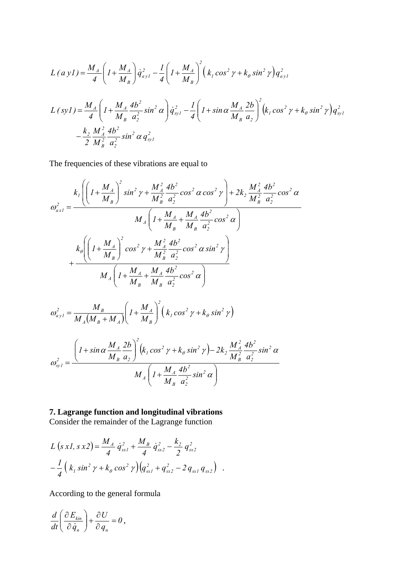$$
L (a y l) = \frac{M_A}{4} \left( I + \frac{M_A}{M_B} \right) \dot{q}_{ayl}^2 - \frac{1}{4} \left( I + \frac{M_A}{M_B} \right)^2 \left( k_I \cos^2 \gamma + k_\theta \sin^2 \gamma \right) q_{ayl}^2
$$
  

$$
L (s y l) = \frac{M_A}{4} \left( I + \frac{M_A}{M_B} \frac{4b^2}{a_2^2} \sin^2 \alpha \right) \dot{q}_{syl}^2 - \frac{1}{4} \left( I + \sin \alpha \frac{M_A}{M_B} \frac{2b}{a_2} \right)^2 \left( k_I \cos^2 \gamma + k_\theta \sin^2 \gamma \right) q_{syl}^2
$$

$$
- \frac{k_2}{2} \frac{M_A^2}{M_B^2} \frac{4b^2}{a_2^2} \sin^2 \alpha \, q_{syl}^2
$$

The frequencies of these vibrations are equal to

$$
\omega_{ax1}^{2} = \frac{k_{1} \left( \left( I + \frac{M_{A}}{M_{B}} \right)^{2} \sin^{2} \gamma + \frac{M_{A}^{2}}{M_{B}^{2}} \frac{4b^{2}}{a_{2}^{2}} \cos^{2} \alpha \cos^{2} \gamma \right) + 2k_{2} \frac{M_{A}^{2}}{M_{B}^{2}} \frac{4b^{2}}{a_{2}^{2}} \cos^{2} \alpha
$$
\n
$$
\omega_{ax1}^{2} = \frac{M_{A} \left( I + \frac{M_{A}}{M_{B}} + \frac{M_{A}}{M_{B}} \frac{4b^{2}}{a_{2}^{2}} \cos^{2} \alpha \right)}{M_{A} \left( I + \frac{M_{A}}{M_{B}} \right)^{2} \cos^{2} \gamma + \frac{M_{A}^{2}}{M_{B}^{2}} \frac{4b^{2}}{a_{2}^{2}} \cos^{2} \alpha \sin^{2} \gamma \right)}
$$
\n
$$
+ \frac{M_{A} \left( I + \frac{M_{A}}{M_{B}} + \frac{M_{A}}{M_{B}} \frac{4b^{2}}{a_{2}^{2}} \cos^{2} \alpha \right)}{M_{A} \left( I + \frac{M_{A}}{M_{B}} + \frac{M_{A}}{M_{B}} \frac{4b^{2}}{a_{2}^{2}} \cos^{2} \alpha \right)}
$$
\n
$$
\omega_{ay1}^{2} = \frac{M_{B}}{M_{A} (M_{B} + M_{A})} \left( I + \frac{M_{A}}{M_{B}} \right)^{2} \left( k_{1} \cos^{2} \gamma + k_{\theta} \sin^{2} \gamma \right)
$$

$$
M_A(M_B + M_A)(M_B)
$$
  
\n
$$
M_A(M_B + M_A)(M_B)
$$
  
\n
$$
\omega_{syl}^2 = \frac{\left(1 + \sin\alpha \frac{M_A}{M_B} \frac{2b}{a_2}\right)^2 (k_I \cos^2 \gamma + k_\theta \sin^2 \gamma) - 2k_2 \frac{M_A^2}{M_B^2} \frac{4b^2}{a_2^2} \sin^2 \alpha}{M_A \left(1 + \frac{M_A}{M_B} \frac{4b^2}{a_2^2} \sin^2 \alpha\right)}
$$

 $\setminus$ 

J

*2 2*

*a*

*B*

*M*

**7. Lagrange function and longitudinal vibrations**  Consider the remainder of the Lagrange function

$$
L (s x l, s x 2) = \frac{M_A}{4} \dot{q}_{s x l}^2 + \frac{M_B}{4} \dot{q}_{s x 2}^2 - \frac{k_2}{2} q_{s x 2}^2
$$

$$
- \frac{1}{4} (k_1 \sin^2 \gamma + k_\theta \cos^2 \gamma) (q_{s x l}^2 + q_{s x 2}^2 - 2 q_{s x l} q_{s x 2}) .
$$

According to the general formula

$$
\frac{d}{dt}\left(\frac{\partial E_{kin}}{\partial \dot{q}_n}\right) + \frac{\partial U}{\partial q_n} = 0,
$$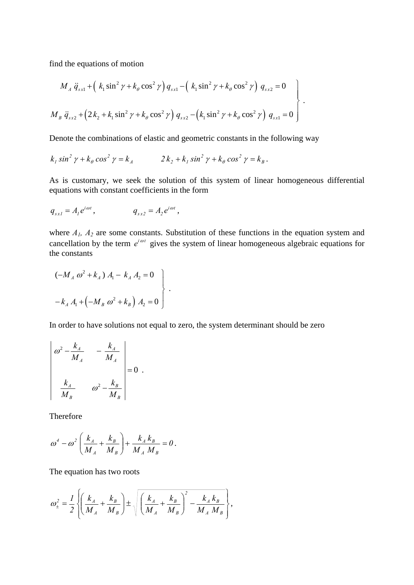find the equations of motion

$$
M_A \ddot{q}_{s} + (k_1 \sin^2 \gamma + k_\theta \cos^2 \gamma) q_{s} - (k_1 \sin^2 \gamma + k_\theta \cos^2 \gamma) q_{s} = 0
$$
  

$$
M_B \ddot{q}_{s} = (2k_2 + k_1 \sin^2 \gamma + k_\theta \cos^2 \gamma) q_{s} - (k_1 \sin^2 \gamma + k_\theta \cos^2 \gamma) q_{s} = 0
$$

Denote the combinations of elastic and geometric constants in the following way

$$
k_1 \sin^2 \gamma + k_\theta \cos^2 \gamma = k_A \qquad \qquad 2k_2 + k_1 \sin^2 \gamma + k_\theta \cos^2 \gamma = k_B.
$$

As is customary, we seek the solution of this system of linear homogeneous differential equations with constant coefficients in the form

$$
q_{sxI} = A_I e^{i\omega t},
$$
  $q_{sx2} = A_2 e^{i\omega t},$ 

where  $A_1$ ,  $A_2$  are some constants. Substitution of these functions in the equation system and cancellation by the term  $e^{i\omega t}$  gives the system of linear homogeneous algebraic equations for the constants

$$
\begin{aligned}\n &(-M_A \omega^2 + k_A) A_1 - k_A A_2 = 0 \\
&- k_A A_1 + \left(-M_B \omega^2 + k_B\right) A_2 = 0\n \end{aligned}
$$

In order to have solutions not equal to zero, the system determinant should be zero

$$
\begin{vmatrix} \omega^2 - \frac{k_A}{M_A} & -\frac{k_A}{M_A} \\ \frac{k_A}{M_B} & \omega^2 - \frac{k_B}{M_B} \end{vmatrix} = 0.
$$

Therefore

$$
\omega^{4} - \omega^{2} \left( \frac{k_{A}}{M_{A}} + \frac{k_{B}}{M_{B}} \right) + \frac{k_{A} k_{B}}{M_{A} M_{B}} = 0.
$$

The equation has two roots

$$
\omega_{\pm}^{2} = \frac{1}{2} \left\{ \left( \frac{k_{A}}{M_{A}} + \frac{k_{B}}{M_{B}} \right) \pm \sqrt{\left( \frac{k_{A}}{M_{A}} + \frac{k_{B}}{M_{B}} \right)^{2} - \frac{k_{A} k_{B}}{M_{A} M_{B}}} \right\},\,
$$